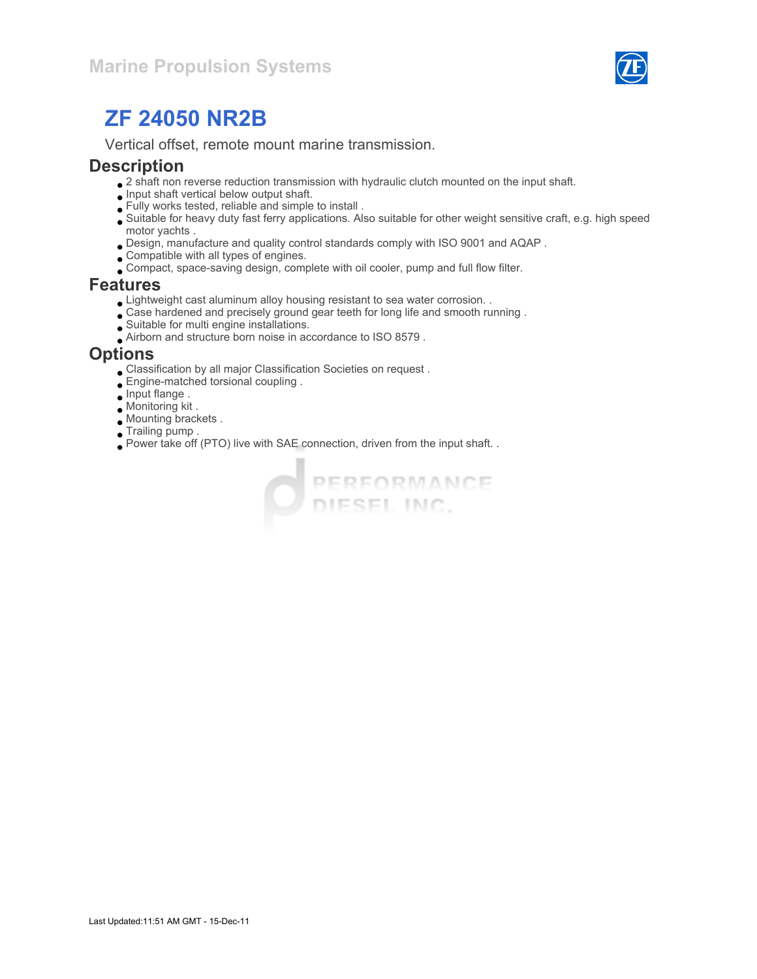

Vertical offset, remote mount marine transmission.

#### **Description**

- $\bullet$  2 shaft non reverse reduction transmission with hydraulic clutch mounted on the input shaft.
- $\bullet$  Input shaft vertical below output shaft.
- Fully works tested, reliable and simple to install .
- Suitable for heavy duty fast ferry applications. Also suitable for other weight sensitive craft, e.g. high speed motor yachts .
- Design, manufacture and quality control standards comply with ISO 9001 and AQAP .
- Compatible with all types of engines.
- Compact, space-saving design, complete with oil cooler, pump and full flow filter.

#### Features

- Lightweight cast aluminum alloy housing resistant to sea water corrosion. .
- Case hardened and precisely ground gear teeth for long life and smooth running .
- Suitable for multi engine installations.
- Airborn and structure born noise in accordance to ISO 8579 .

#### **Options**

- Classification by all major Classification Societies on request .
- Engine-matched torsional coupling .
- Input flange .
- Monitoring kit .
- Mounting brackets .
- Trailing pump .
- Power take off (PTO) live with SAE connection, driven from the input shaft. .

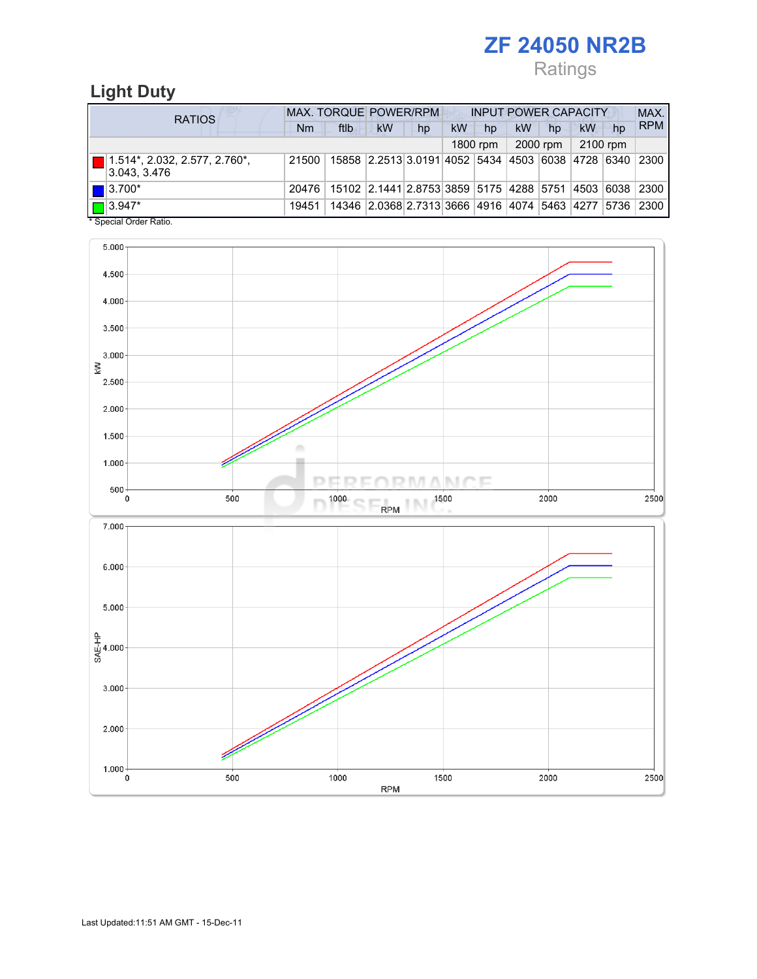## Ratings

## Light Duty

| <b>RATIOS</b> |                                                             | <b>MAX. TORQUE POWER/RPM</b><br><b>INPUT POWER CAPACITY</b> |                                                                |                                                   |    |    |          |           |          |          | MAX. |            |
|---------------|-------------------------------------------------------------|-------------------------------------------------------------|----------------------------------------------------------------|---------------------------------------------------|----|----|----------|-----------|----------|----------|------|------------|
|               |                                                             | Nm                                                          | ftlb                                                           | kW                                                | hp | kW | hp       | <b>kW</b> | hp       | kW       | hp   | <b>RPM</b> |
|               |                                                             |                                                             |                                                                |                                                   |    |    | 1800 rpm |           | 2000 rpm | 2100 rpm |      |            |
|               | $\blacksquare$ 1.514*, 2.032, 2.577, 2.760*,<br>3.043.3.476 | 21500                                                       | 15858 2.2513 3.0191 4052 5434 4503 6038 4728 6340              |                                                   |    |    |          |           |          |          |      | 2300       |
|               | $\blacksquare$ 3.700*                                       | 20476                                                       | 15102  2.1441 2.8753 3859  5175  4288  5751  4503  6038   2300 |                                                   |    |    |          |           |          |          |      |            |
|               | $\Box$ 3.947*                                               | 19451                                                       |                                                                | 14346 2.0368 2.7313 3666 4916 4074 5463 4277 5736 |    |    |          |           |          |          |      | 2300       |

Special Order Ratio.

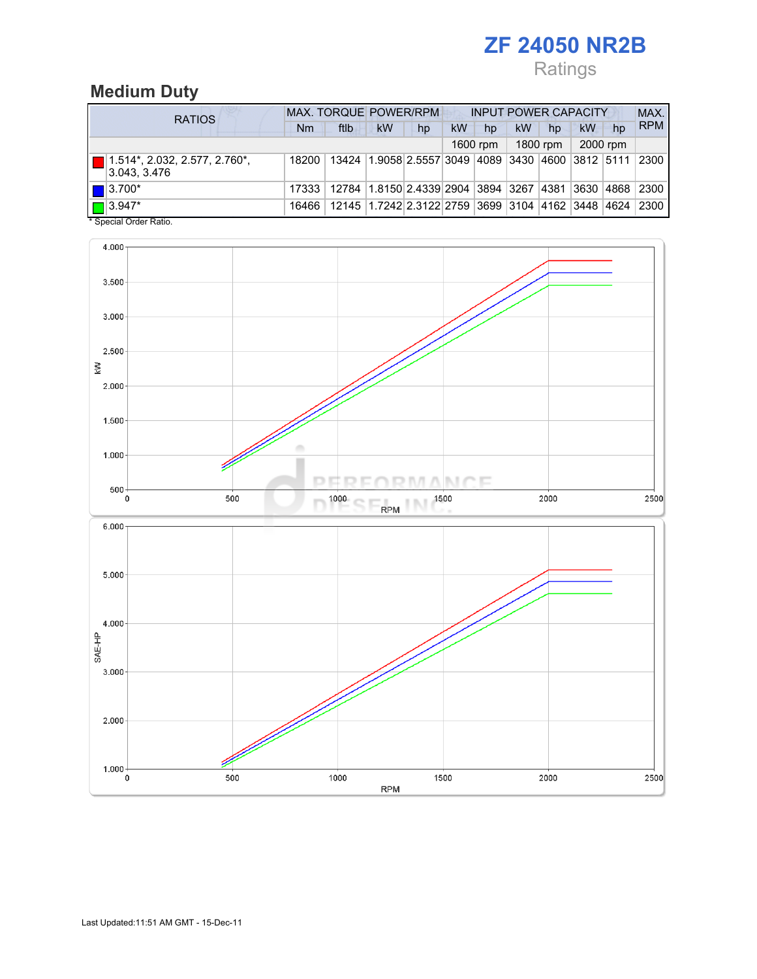## Ratings

## Medium Duty

| <b>RATIOS</b>                                         | <b>MAX. TORQUE POWER/RPM</b> |                                                                |                                                        |    |    | <b>INPUT POWER CAPACITY</b> |    |          |    |          |            |
|-------------------------------------------------------|------------------------------|----------------------------------------------------------------|--------------------------------------------------------|----|----|-----------------------------|----|----------|----|----------|------------|
|                                                       | Nm                           | ftlb                                                           | <b>kW</b>                                              | hp | kW | hp                          | kW | hp       | kW | hp       | <b>RPM</b> |
|                                                       |                              |                                                                |                                                        |    |    | 1600 rpm                    |    | 1800 rpm |    | 2000 rpm |            |
| $\Box$ 1.514*, 2.032, 2.577, 2.760*,<br> 3.043, 3.476 | 18200                        |                                                                | 13424 1.9058 2.5557 3049 4089 3430 4600 3812 5111 2300 |    |    |                             |    |          |    |          |            |
| $\blacksquare$ 3.700*                                 | 17333                        | 12784  1.8150 2.4339 2904  3894  3267  4381  3630  4868   2300 |                                                        |    |    |                             |    |          |    |          |            |
| $\Box$ 3.947*                                         | 16466                        |                                                                | 12145 1.7242 2.3122 2759 3699 3104 4162 3448 4624      |    |    |                             |    |          |    |          | 2300       |

\* Special Order Ratio.

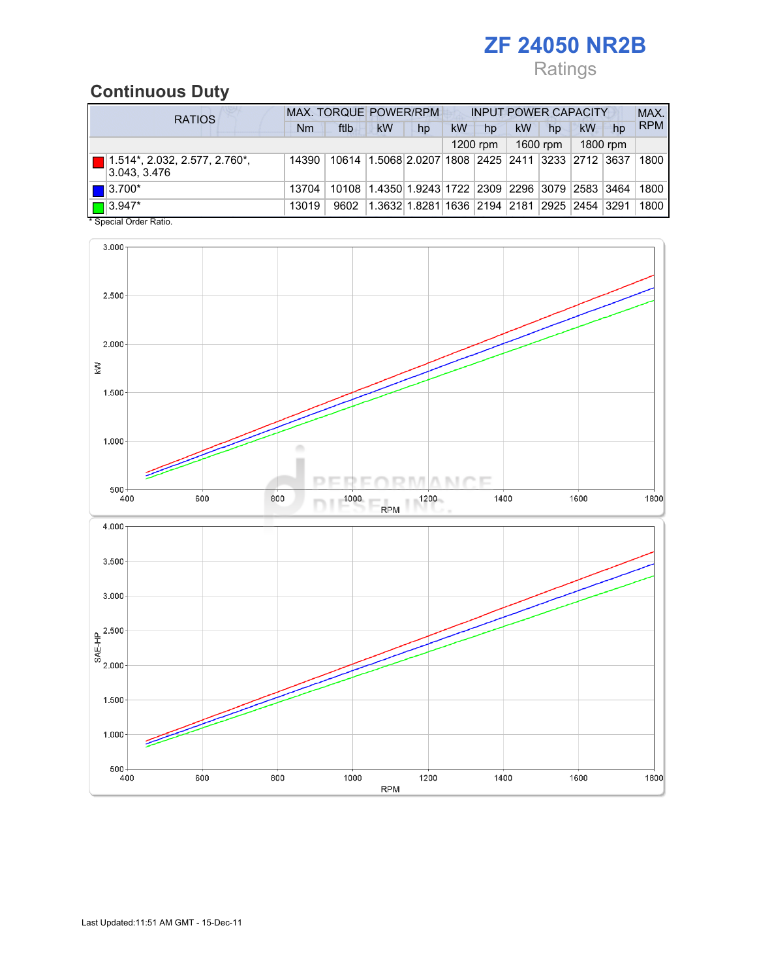## Ratings

## Continuous Duty

| <b>RATIOS</b>                                  | MAX. TORQUE POWER/RPM |       |                                                   |                              |    | <b>INPUT POWER CAPACITY</b> |           |          |                  |          |            |
|------------------------------------------------|-----------------------|-------|---------------------------------------------------|------------------------------|----|-----------------------------|-----------|----------|------------------|----------|------------|
|                                                | Nm                    | ftlb  | <b>kW</b>                                         | hp                           | kW | hp                          | <b>kW</b> | hp       | kW               | hp       | <b>RPM</b> |
|                                                |                       |       |                                                   |                              |    | $1200$ rpm                  |           | 1600 rpm |                  | 1800 rpm |            |
| 1.514*, 2.032, 2.577, 2.760*,<br>3.043, 3.476  | 14390                 |       | 10614 1.5068 2.0207 1808 2425 2411 3233 2712 3637 |                              |    |                             |           |          |                  |          | 1800       |
| $\blacksquare$ 3.700*                          | 13704                 | 10108 | 1.4350 1.9243 1722  2309  2296  3079  2583  3464  |                              |    |                             |           |          |                  |          | 1800       |
| $\blacksquare$ 3.947*<br>* Concial Order Datio | 13019                 | 9602  |                                                   | 1.3632 1.8281 1636 2194 2181 |    |                             |           |          | 2925  2454  3291 |          | 1800       |



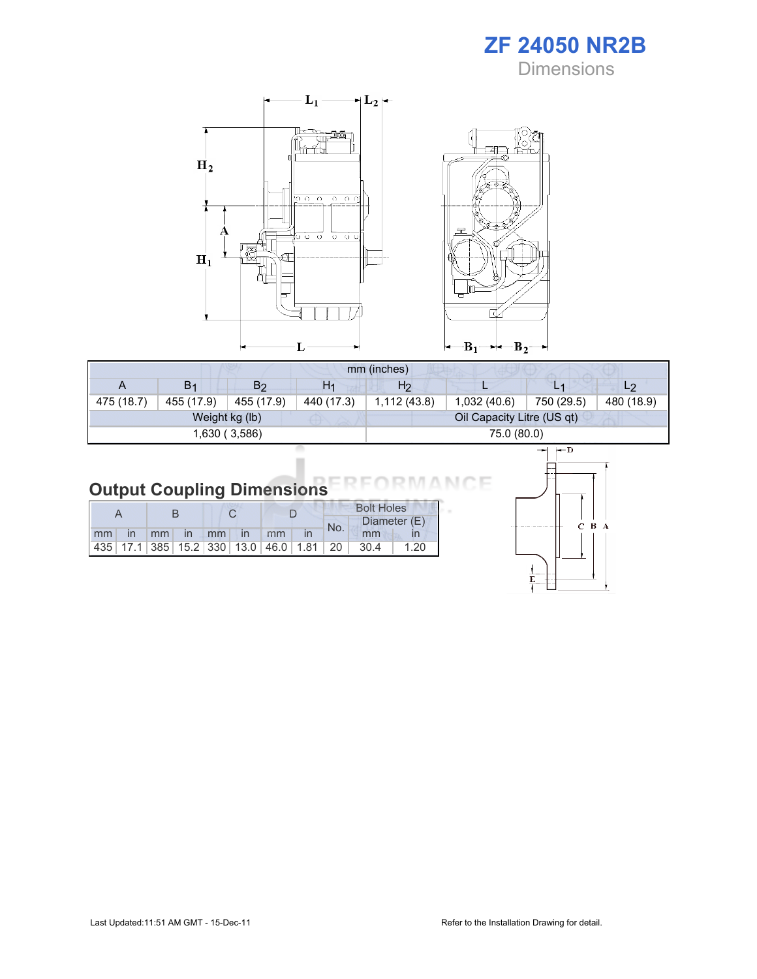ZF 24050 NR2B **Dimensions** 



| mm (inches) |                |                |                |                |                            |            |                |  |
|-------------|----------------|----------------|----------------|----------------|----------------------------|------------|----------------|--|
| A           | B <sub>1</sub> | B <sub>2</sub> | H <sub>1</sub> | H <sub>2</sub> |                            |            | L <sub>2</sub> |  |
| 475 (18.7)  | 455 (17.9)     | 455 (17.9)     | 440 (17.3)     | 1,112(43.8)    | 1,032(40.6)                | 750 (29.5) | 480 (18.9)     |  |
|             |                | Weight kg (lb) |                |                | Oil Capacity Litre (US qt) |            |                |  |
|             |                | 1,630 (3,586)  |                |                | 75.0 (80.0)                |            |                |  |

#### Output Coupling Dimensions Е

|  |  |                      |                                                         |  |     | <b>Bolt Holes</b> |      |  |
|--|--|----------------------|---------------------------------------------------------|--|-----|-------------------|------|--|
|  |  |                      |                                                         |  | No. | Diameter (E)      |      |  |
|  |  | mm in mm in mm in mm |                                                         |  |     | mm                |      |  |
|  |  |                      | 435   17.1   385   15.2   330   13.0   46.0   1.81   20 |  |     | - 30.4            | 1.20 |  |